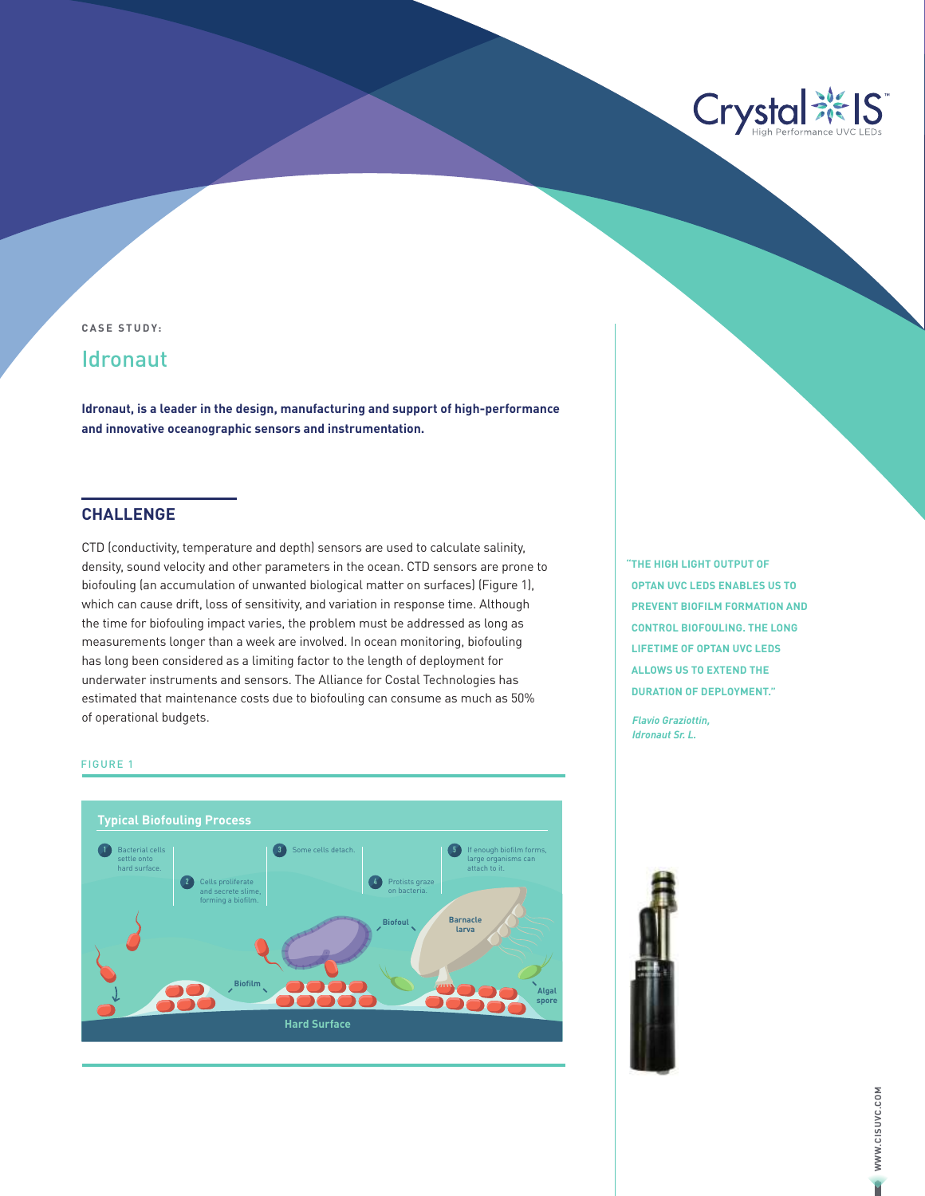

**CASE STUDY:**

# **Idronaut**

**Idronaut, is a leader in the design, manufacturing and support of high-performance and innovative oceanographic sensors and instrumentation.**

## **CHALLENGE**

CTD (conductivity, temperature and depth) sensors are used to calculate salinity, density, sound velocity and other parameters in the ocean. CTD sensors are prone to biofouling (an accumulation of unwanted biological matter on surfaces) (Figure 1), which can cause drift, loss of sensitivity, and variation in response time. Although the time for biofouling impact varies, the problem must be addressed as long as measurements longer than a week are involved. In ocean monitoring, biofouling has long been considered as a limiting factor to the length of deployment for underwater instruments and sensors. The Alliance for Costal Technologies has estimated that maintenance costs due to biofouling can consume as much as 50% of operational budgets.

#### FIGURE 1



**"THE HIGH LIGHT OUTPUT OF OPTAN UVC LEDS ENABLES US TO PREVENT BIOFILM FORMATION AND CONTROL BIOFOULING. THE LONG LIFETIME OF OPTAN UVC LEDS ALLOWS US TO EXTEND THE DURATION OF DEPLOYMENT."**

*Flavio Graziottin, Idronaut Sr. L.*



WWW.CISUVC.COM **WWW.CISUVC.COM** ¢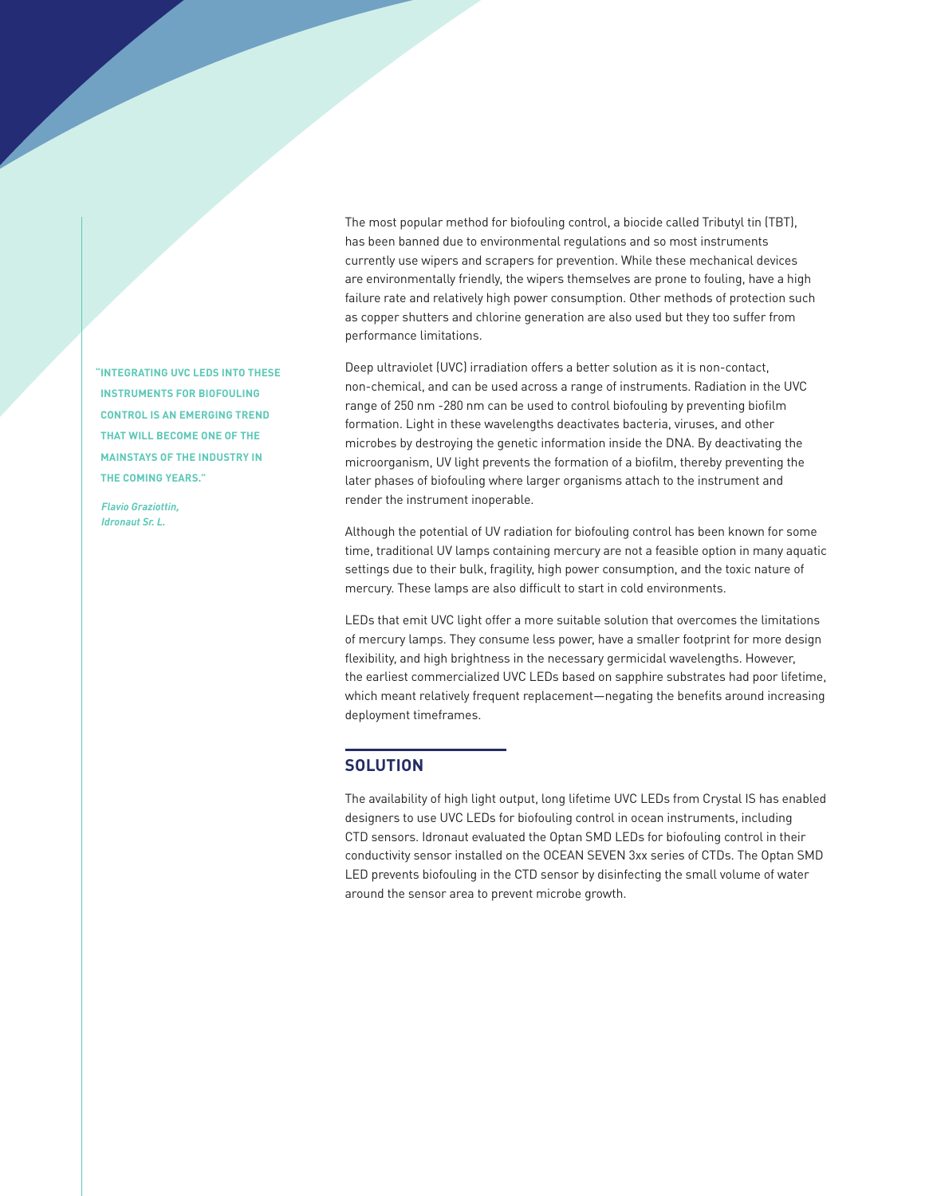**"INTEGRATING UVC LEDS INTO THESE INSTRUMENTS FOR BIOFOULING CONTROL IS AN EMERGING TREND THAT WILL BECOME ONE OF THE MAINSTAYS OF THE INDUSTRY IN THE COMING YEARS."** 

*Flavio Graziottin, Idronaut Sr. L.*

The most popular method for biofouling control, a biocide called Tributyl tin (TBT), has been banned due to environmental regulations and so most instruments currently use wipers and scrapers for prevention. While these mechanical devices are environmentally friendly, the wipers themselves are prone to fouling, have a high failure rate and relatively high power consumption. Other methods of protection such as copper shutters and chlorine generation are also used but they too suffer from performance limitations.

Deep ultraviolet (UVC) irradiation offers a better solution as it is non-contact, non-chemical, and can be used across a range of instruments. Radiation in the UVC range of 250 nm -280 nm can be used to control biofouling by preventing biofilm formation. Light in these wavelengths deactivates bacteria, viruses, and other microbes by destroying the genetic information inside the DNA. By deactivating the microorganism, UV light prevents the formation of a biofilm, thereby preventing the later phases of biofouling where larger organisms attach to the instrument and render the instrument inoperable.

Although the potential of UV radiation for biofouling control has been known for some time, traditional UV lamps containing mercury are not a feasible option in many aquatic settings due to their bulk, fragility, high power consumption, and the toxic nature of mercury. These lamps are also difficult to start in cold environments.

LEDs that emit UVC light offer a more suitable solution that overcomes the limitations of mercury lamps. They consume less power, have a smaller footprint for more design flexibility, and high brightness in the necessary germicidal wavelengths. However, the earliest commercialized UVC LEDs based on sapphire substrates had poor lifetime, which meant relatively frequent replacement—negating the benefits around increasing deployment timeframes.

### **SOLUTION**

The availability of high light output, long lifetime UVC LEDs from Crystal IS has enabled designers to use UVC LEDs for biofouling control in ocean instruments, including CTD sensors. Idronaut evaluated the Optan SMD LEDs for biofouling control in their conductivity sensor installed on the OCEAN SEVEN 3xx series of CTDs. The Optan SMD LED prevents biofouling in the CTD sensor by disinfecting the small volume of water around the sensor area to prevent microbe growth.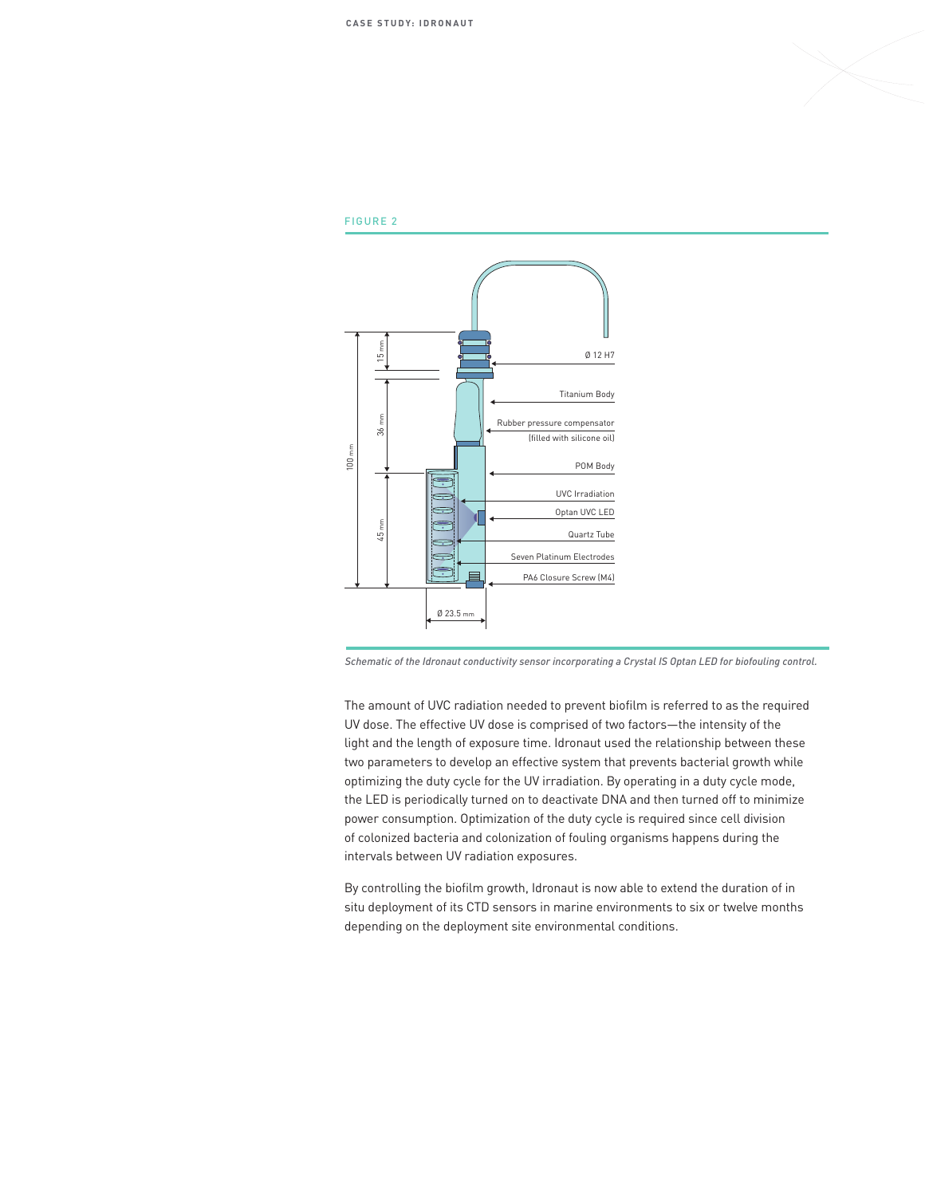

#### FIGURE 2



*Schematic of the Idronaut conductivity sensor incorporating a Crystal IS Optan LED for biofouling control.* 

The amount of UVC radiation needed to prevent biofilm is referred to as the required UV dose. The effective UV dose is comprised of two factors—the intensity of the light and the length of exposure time. Idronaut used the relationship between these two parameters to develop an effective system that prevents bacterial growth while optimizing the duty cycle for the UV irradiation. By operating in a duty cycle mode, the LED is periodically turned on to deactivate DNA and then turned off to minimize power consumption. Optimization of the duty cycle is required since cell division of colonized bacteria and colonization of fouling organisms happens during the intervals between UV radiation exposures.

By controlling the biofilm growth, Idronaut is now able to extend the duration of in situ deployment of its CTD sensors in marine environments to six or twelve months depending on the deployment site environmental conditions.